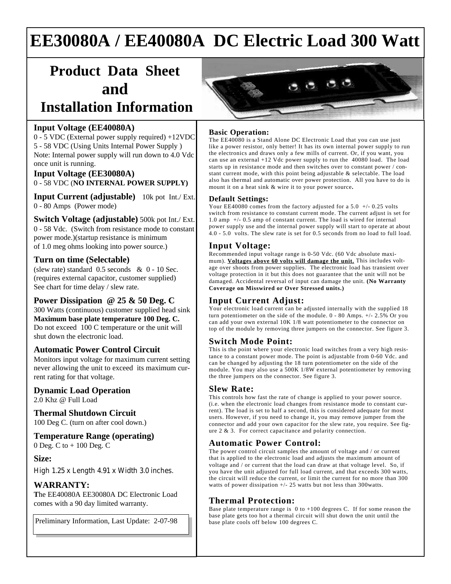# **EE30080A / EE40080A DC Electric Load 300 Watt**

# **Product Data Sheet and**

## **Installation Information**

#### **Input Voltage (EE40080A)**

0 - 5 VDC (External power supply required) +12VDC 5 - 58 VDC (Using Units Internal Power Supply ) Note: Internal power supply will run down to 4.0 Vdc once unit is running.

#### **Input Voltage (EE30080A)** 0 - 58 VDC (**NO INTERNAL POWER SUPPLY)**

**Input Current (adjustable)** 10k pot Int./ Ext. 0 - 80 Amps (Power mode)

**Switch Voltage (adjustable)** 500k pot Int./ Ext. 0 - 58 Vdc. (Switch from resistance mode to constant power mode.)(startup resistance is minimum of 1.0 meg ohms looking into power source.)

#### **Turn on time (Selectable)**

(slew rate) standard 0.5 seconds & 0 - 10 Sec. (requires external capacitor, customer supplied) See chart for time delay / slew rate.

#### **Power Dissipation @ 25 & 50 Deg. C**

300 Watts (continuous) customer supplied head sink **Maximum base plate temperature 100 Deg. C.** Do not exceed 100 C temperature or the unit will shut down the electronic load.

#### **Automatic Power Control Circuit**

Monitors input voltage for maximum current setting never allowing the unit to exceed its maximum current rating for that voltage.

#### **Dynamic Load Operation**

2.0 Khz @ Full Load

#### **Thermal Shutdown Circuit**

100 Deg C. (turn on after cool down.)

## **Temperature Range (operating)**

0 Deg. C to + 100 Deg. C

#### **Size:**

High 1.25 x Length 4.91 x Width 3.0 inches.

#### **WARRANTY:**

**T**he EE40080A EE30080A DC Electronic Load comes with a 90 day limited warranty.

Preliminary Information, Last Update: 2-07-98



#### **Basic Operation:**

The EE40080 is a Stand Alone DC Electronic Load that you can use just like a power resistor, only better! It has its own internal power supply to run the electronics and draws only a few mills of current. Or, if you want, you can use an external +12 Vdc power supply to run the 40080 load. The load starts up in resistance mode and then switches over to constant power / constant current mode, with this point being adjustable & selectable. The load also has thermal and automatic over power protection. All you have to do is mount it on a heat sink & wire it to your power source**.**

#### **Default Settings:**

Your EE40080 comes from the factory adjusted for a 5.0  $+/-$  0.25 volts switch from resistance to constant current mode. The current adjust is set for 1.0 amp +/- 0.5 amp of constant current. The load is wired for internal power supply use and the internal power supply will start to operate at about 4.0 - 5.0 volts. The slew rate is set for 0.5 seconds from no load to full load.

#### **Input Voltage:**

Recommended input voltage range is 0-50 Vdc. (60 Vdc absolute maximum). **Voltages above 60 volts will damage the unit.** This includes voltage over shoots from power supplies. The electronic load has transient over voltage protection in it but this does not guarantee that the unit will not be damaged. Accidental reversal of input can damage the unit. **(No Warranty Coverage on Misswired or Over Stressed units.)**

### **Input Current Adjust:**

Your electronic load current can be adjusted internally with the supplied 18 turn potentiometer on the side of the module. 0 - 80 Amps. +/- 2.5% Or you can add your own external 10K 1/8 watt potentiometer to the connector on top of the module by removing three jumpers on the connector. See figure 3.

#### **Switch Mode Point:**

This is the point where your electronic load switches from a very high resistance to a constant power mode. The point is adjustable from 0-60 Vdc. and can be changed by adjusting the 18 turn potentiometer on the side of the module. You may also use a 500K 1/8W external potentiometer by removing the three jumpers on the connector. See figure 3.

#### **Slew Rate:**

This controls how fast the rate of change is applied to your power source. (i.e. when the electronic load changes from resistance mode to constant current). The load is set to half a second, this is considered adequate for most users. However, if you need to change it, you may remove jumper from the connector and add your own capacitor for the slew rate, you require. See figure 2 & 3. For correct capacitance and polarity connection.

### **Automatic Power Control:**

The power control circuit samples the amount of voltage and / or current that is applied to the electronic load and adjusts the maximum amount of voltage and / or current that the load can draw at that voltage level. So, if you have the unit adjusted for full load current, and that exceeds 300 watts, the circuit will reduce the current, or limit the current for no more than 300 watts of power dissipation +/- 25 watts but not less than 300watts.

#### **Thermal Protection:**

Base plate temperature range is  $0$  to  $+100$  degrees C. If for some reason the base plate gets too hot a thermal circuit will shut down the unit until the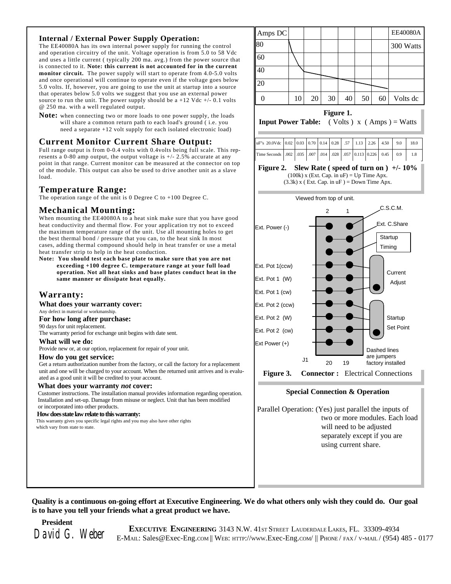#### **Internal / External Power Supply Operation:**

The EE40080A has its own internal power supply for running the control and operation circuitry of the unit. Voltage operation is from 5.0 to 58 Vdc and uses a little current ( typically 200 ma. avg.) from the power source that is connected to it. **Note: this current is not accounted for in the current monitor circuit.** The power supply will start to operate from 4.0-5.0 volts and once operational will continue to operate even if the voltage goes below 5.0 volts. If, however, you are going to use the unit at startup into a source that operates below 5.0 volts we suggest that you use an external power source to run the unit. The power supply should be  $a +12$  Vdc  $+/- 0.1$  volts @ 250 ma. with a well regulated output.

**Note:** when connecting two or more loads to one power supply, the loads will share a common return path to each load's ground ( i.e. you need a separate +12 volt supply for each isolated electronic load)

#### **Current Monitor Current Share Output:**

Full range output is from 0-0.4 volts with 0.4volts being full scale. This represents a 0-80 amp output, the output voltage is +/- 2.5% accurate at any point in that range. Current monitor can be measured at the connector on top of the module. This output can also be used to drive another unit as a slave load.

#### **Temperature Range:**

The operation range of the unit is 0 Degree C to +100 Degree C.

#### **Mechanical Mounting:**

When mounting the EE40080A to a heat sink make sure that you have good heat conductivity and thermal flow. For your application try not to exceed the maximum temperature range of the unit. Use all mounting holes to get the best thermal bond / pressure that you can, to the heat sink In most cases, adding thermal compound should help in heat transfer or use a metal heat transfer strip to help in the heat conduction.

**Note: You should test each base plate to make sure that you are not exceeding +100 degree C. temperature range at your full load operation. Not all heat sinks and base plates conduct heat in the same manner or dissipate heat equally.**

#### **Warranty:**

**What does your warranty cover:**

Any defect in material or workmanship.

**For how long after purchase:**

90 days for unit replacement.

The warranty period for exchange unit begins with date sent.

#### **What will we do:**

Provide new or, at our option, replacement for repair of your unit.

#### **How do you get service:**

Get a return authorization number from the factory, or call the factory for a replacement unit and one will be charged to your account. When the returned unit arrives and is evaluated as a good unit it will be credited to your account.

#### **What does your warranty** *not* **cover:**

 Customer instructions. The installation manual provides information regarding operation. Installation and set-up. Damage from misuse or neglect. Unit that has been modified or incorporated into other products.

#### **How does state law relate to this warranty:**

 This warranty gives you specific legal rights and you may also have other rights which vary from state to state.



#### **Figure 1.**

**Input Power Table:** ( Volts )  $x$  ( Amps ) = Watts

| uF''s 20.0Vdc 0.02 0.03 0.70 0.14 0.28 57 1.13 2.26 4.50 9.0    |  |  |  |  |  | 18.0 |
|-----------------------------------------------------------------|--|--|--|--|--|------|
| Time Seconds .002 .035 .007 .014 .028 .057 0.113 0.226 0.45 0.9 |  |  |  |  |  | 1.8  |
|                                                                 |  |  |  |  |  |      |

#### **Figure 2. Slew Rate ( speed of turn on ) +/- 10%** (100k) x (Ext. Cap. in  $uF$ ) = Up Time Apx.

 $(3.3k)$  x (Ext. Cap. in uF) = Down Time Apx.



#### **Special Connection & Operation**

Parallel Operation: (Yes) just parallel the inputs of two or more modules. Each load will need to be adjusted separately except if you are using current share.

#### **Quality is a continuous on-going effort at Executive Engineering. We do what others only wish they could do. Our goal is to have you tell your friends what a great product we have.**

 **President**

**EXECUTIVE ENGINEERING** 3143 N.W. 41st Street LAUDERDALE LAKES, FL. 33309-4934<br>David G. Weber E-MAIL: Sales@Exec-Eng.com || WEB: HTTP://www.Exec-Eng.com/ || PHONE/ FAX/ V-MAIL/ (954) 485 - 0177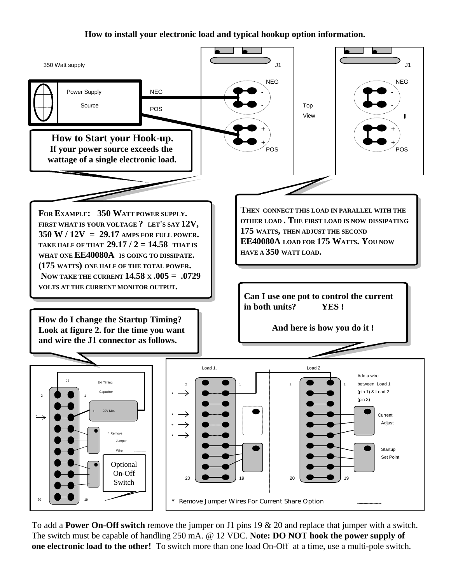### **How to install your electronic load and typical hookup option information.**



To add a **Power On-Off switch** remove the jumper on J1 pins 19 & 20 and replace that jumper with a switch. The switch must be capable of handling 250 mA. @ 12 VDC. **Note: DO NOT hook the power supply of one electronic load to the other!** To switch more than one load On-Off at a time, use a multi-pole switch.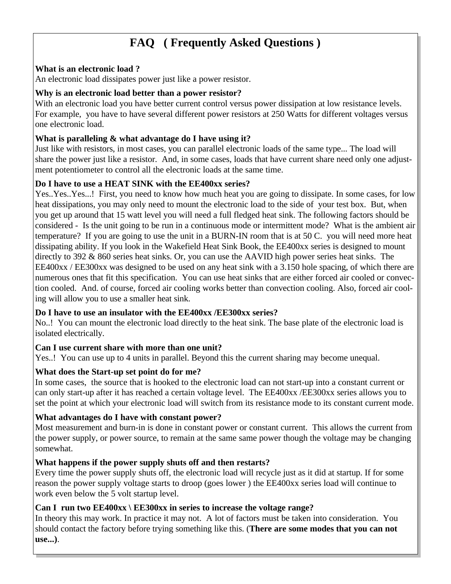## **FAQ ( Frequently Asked Questions )**

### **What is an electronic load ?**

An electronic load dissipates power just like a power resistor.

### **Why is an electronic load better than a power resistor?**

With an electronic load you have better current control versus power dissipation at low resistance levels. For example, you have to have several different power resistors at 250 Watts for different voltages versus one electronic load.

#### **What is paralleling & what advantage do I have using it?**

Just like with resistors, in most cases, you can parallel electronic loads of the same type... The load will share the power just like a resistor. And, in some cases, loads that have current share need only one adjustment potentiometer to control all the electronic loads at the same time.

### **Do I have to use a HEAT SINK with the EE400xx series?**

Yes..Yes..Yes...! First, you need to know how much heat you are going to dissipate. In some cases, for low heat dissipations, you may only need to mount the electronic load to the side of your test box. But, when you get up around that 15 watt level you will need a full fledged heat sink. The following factors should be considered - Is the unit going to be run in a continuous mode or intermittent mode? What is the ambient air temperature? If you are going to use the unit in a BURN-IN room that is at 50 C. you will need more heat dissipating ability. If you look in the Wakefield Heat Sink Book, the EE400xx series is designed to mount directly to 392 & 860 series heat sinks. Or, you can use the AAVID high power series heat sinks. The EE400xx / EE300xx was designed to be used on any heat sink with a 3.150 hole spacing, of which there are numerous ones that fit this specification. You can use heat sinks that are either forced air cooled or convection cooled. And. of course, forced air cooling works better than convection cooling. Also, forced air cooling will allow you to use a smaller heat sink.

### **Do I have to use an insulator with the EE400xx /EE300xx series?**

No..! You can mount the electronic load directly to the heat sink. The base plate of the electronic load is isolated electrically.

### **Can I use current share with more than one unit?**

Yes..! You can use up to 4 units in parallel. Beyond this the current sharing may become unequal.

### **What does the Start-up set point do for me?**

In some cases, the source that is hooked to the electronic load can not start-up into a constant current or can only start-up after it has reached a certain voltage level. The EE400xx /EE300xx series allows you to set the point at which your electronic load will switch from its resistance mode to its constant current mode.

## **What advantages do I have with constant power?**

Most measurement and burn-in is done in constant power or constant current. This allows the current from the power supply, or power source, to remain at the same same power though the voltage may be changing somewhat.

## **What happens if the power supply shuts off and then restarts?**

Every time the power supply shuts off, the electronic load will recycle just as it did at startup. If for some reason the power supply voltage starts to droop (goes lower ) the EE400xx series load will continue to work even below the 5 volt startup level.

## **Can I run two EE400xx \ EE300xx in series to increase the voltage range?**

In theory this may work. In practice it may not. A lot of factors must be taken into consideration. You should contact the factory before trying something like this. (**There are some modes that you can not use...)**.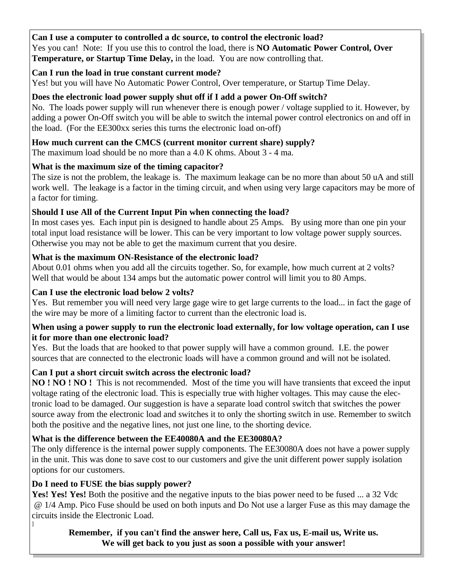## **Can I use a computer to controlled a dc source, to control the electronic load?**

Yes you can! Note: If you use this to control the load, there is **NO Automatic Power Control, Over Temperature, or Startup Time Delay,** in the load. You are now controlling that.

## **Can I run the load in true constant current mode?**

Yes! but you will have No Automatic Power Control, Over temperature, or Startup Time Delay.

## **Does the electronic load power supply shut off if I add a power On-Off switch?**

No. The loads power supply will run whenever there is enough power / voltage supplied to it. However, by adding a power On-Off switch you will be able to switch the internal power control electronics on and off in the load. (For the EE300xx series this turns the electronic load on-off)

## **How much current can the CMCS (current monitor current share) supply?**

The maximum load should be no more than a 4.0 K ohms. About 3 - 4 ma.

## **What is the maximum size of the timing capacitor?**

The size is not the problem, the leakage is. The maximum leakage can be no more than about 50 uA and still work well. The leakage is a factor in the timing circuit, and when using very large capacitors may be more of a factor for timing.

## **Should I use All of the Current Input Pin when connecting the load?**

In most cases yes. Each input pin is designed to handle about 25 Amps. By using more than one pin your total input load resistance will be lower. This can be very important to low voltage power supply sources. Otherwise you may not be able to get the maximum current that you desire.

## **What is the maximum ON-Resistance of the electronic load?**

About 0.01 ohms when you add all the circuits together. So, for example, how much current at 2 volts? Well that would be about 134 amps but the automatic power control will limit you to 80 Amps.

## **Can I use the electronic load below 2 volts?**

Yes. But remember you will need very large gage wire to get large currents to the load... in fact the gage of the wire may be more of a limiting factor to current than the electronic load is.

## **When using a power supply to run the electronic load externally, for low voltage operation, can I use it for more than one electronic load?**

Yes. But the loads that are hooked to that power supply will have a common ground. I.E. the power sources that are connected to the electronic loads will have a common ground and will not be isolated.

## **Can I put a short circuit switch across the electronic load?**

**NO ! NO ! NO !** This is not recommended. Most of the time you will have transients that exceed the input voltage rating of the electronic load. This is especially true with higher voltages. This may cause the electronic load to be damaged. Our suggestion is have a separate load control switch that switches the power source away from the electronic load and switches it to only the shorting switch in use. Remember to switch both the positive and the negative lines, not just one line, to the shorting device.

## **What is the difference between the EE40080A and the EE30080A?**

The only difference is the internal power supply components. The EE30080A does not have a power supply in the unit. This was done to save cost to our customers and give the unit different power supply isolation options for our customers.

## **Do I need to FUSE the bias supply power?**

]

Yes! Yes! Yes! Both the positive and the negative inputs to the bias power need to be fused ... a 32 Vdc @ 1/4 Amp. Pico Fuse should be used on both inputs and Do Not use a larger Fuse as this may damage the circuits inside the Electronic Load.

## **Remember, if you can't find the answer here, Call us, Fax us, E-mail us, Write us. We will get back to you just as soon a possible with your answer!**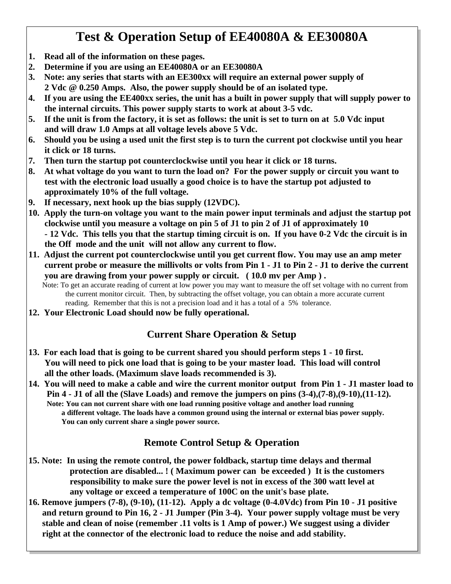## **Test & Operation Setup of EE40080A & EE30080A**

- **1. Read all of the information on these pages.**
- **2. Determine if you are using an EE40080A or an EE30080A**
- **3. Note: any series that starts with an EE300xx will require an external power supply of 2 Vdc @ 0.250 Amps. Also, the power supply should be of an isolated type.**
- **4. If you are using the EE400xx series, the unit has a built in power supply that will supply power to the internal circuits. This power supply starts to work at about 3-5 vdc.**
- **5. If the unit is from the factory, it is set as follows: the unit is set to turn on at 5.0 Vdc input and will draw 1.0 Amps at all voltage levels above 5 Vdc.**
- **6. Should you be using a used unit the first step is to turn the current pot clockwise until you hear it click or 18 turns.**
- **7. Then turn the startup pot counterclockwise until you hear it click or 18 turns.**
- **8. At what voltage do you want to turn the load on? For the power supply or circuit you want to test with the electronic load usually a good choice is to have the startup pot adjusted to approximately 10% of the full voltage.**
- **9. If necessary, next hook up the bias supply (12VDC).**
- **10. Apply the turn-on voltage you want to the main power input terminals and adjust the startup pot clockwise until you measure a voltage on pin 5 of J1 to pin 2 of J1 of approximately 10 - 12 Vdc. This tells you that the startup timing circuit is on. If you have 0-2 Vdc the circuit is in the Off mode and the unit will not allow any current to flow.**
- **11. Adjust the current pot counterclockwise until you get current flow. You may use an amp meter current probe or measure the millivolts or volts from Pin 1 - J1 to Pin 2 - J1 to derive the current you are drawing from your power supply or circuit. ( 10.0 mv per Amp ) .**
	- Note: To get an accurate reading of current at low power you may want to measure the off set voltage with no current from the current monitor circuit. Then, by subtracting the offset voltage, you can obtain a more accurate current reading. Remember that this is not a precision load and it has a total of a 5% tolerance.
- **12. Your Electronic Load should now be fully operational.**

## **Current Share Operation & Setup**

- **13. For each load that is going to be current shared you should perform steps 1 10 first. You will need to pick one load that is going to be your master load. This load will control all the other loads. (Maximum slave loads recommended is 3).**
- **14. You will need to make a cable and wire the current monitor output from Pin 1 J1 master load to Pin 4 - J1 of all the (Slave Loads) and remove the jumpers on pins (3-4),(7-8),(9-10),(11-12). Note: You can not current share with one load running positive voltage and another load running a different voltage. The loads have a common ground using the internal or external bias power supply. You can only current share a single power source.**

## **Remote Control Setup & Operation**

- **15. Note: In using the remote control, the power foldback, startup time delays and thermal protection are disabled... ! ( Maximum power can be exceeded ) It is the customers responsibility to make sure the power level is not in excess of the 300 watt level at any voltage or exceed a temperature of 100C on the unit's base plate.**
- **16. Remove jumpers (7-8), (9-10), (11-12). Apply a dc voltage (0-4.0Vdc) from Pin 10 J1 positive and return ground to Pin 16, 2 - J1 Jumper (Pin 3-4). Your power supply voltage must be very stable and clean of noise (remember .11 volts is 1 Amp of power.) We suggest using a divider right at the connector of the electronic load to reduce the noise and add stability.**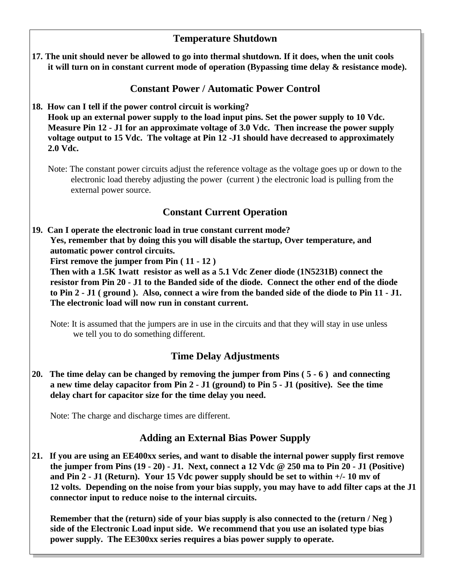## **Temperature Shutdown**

**17. The unit should never be allowed to go into thermal shutdown. If it does, when the unit cools it will turn on in constant current mode of operation (Bypassing time delay & resistance mode).**

## **Constant Power / Automatic Power Control**

**18. How can I tell if the power control circuit is working?**

 **Hook up an external power supply to the load input pins. Set the power supply to 10 Vdc. Measure Pin 12 - J1 for an approximate voltage of 3.0 Vdc. Then increase the power supply voltage output to 15 Vdc. The voltage at Pin 12 -J1 should have decreased to approximately 2.0 Vdc.**

Note: The constant power circuits adjust the reference voltage as the voltage goes up or down to the electronic load thereby adjusting the power (current ) the electronic load is pulling from the external power source.

## **Constant Current Operation**

**19. Can I operate the electronic load in true constant current mode? Yes, remember that by doing this you will disable the startup, Over temperature, and automatic power control circuits.**

 **First remove the jumper from Pin ( 11 - 12 )**

 **Then with a 1.5K 1watt resistor as well as a 5.1 Vdc Zener diode (1N5231B) connect the resistor from Pin 20 - J1 to the Banded side of the diode. Connect the other end of the diode to Pin 2 - J1 ( ground ). Also, connect a wire from the banded side of the diode to Pin 11 - J1. The electronic load will now run in constant current.**

Note: It is assumed that the jumpers are in use in the circuits and that they will stay in use unless we tell you to do something different.

## **Time Delay Adjustments**

**20. The time delay can be changed by removing the jumper from Pins ( 5 - 6 ) and connecting a new time delay capacitor from Pin 2 - J1 (ground) to Pin 5 - J1 (positive). See the time delay chart for capacitor size for the time delay you need.**

Note: The charge and discharge times are different.

## **Adding an External Bias Power Supply**

**21. If you are using an EE400xx series, and want to disable the internal power supply first remove the jumper from Pins (19 - 20) - J1. Next, connect a 12 Vdc @ 250 ma to Pin 20 - J1 (Positive) and Pin 2 - J1 (Return). Your 15 Vdc power supply should be set to within +/- 10 mv of 12 volts. Depending on the noise from your bias supply, you may have to add filter caps at the J1 connector input to reduce noise to the internal circuits.**

 **Remember that the (return) side of your bias supply is also connected to the (return / Neg ) side of the Electronic Load input side. We recommend that you use an isolated type bias power supply. The EE300xx series requires a bias power supply to operate.**